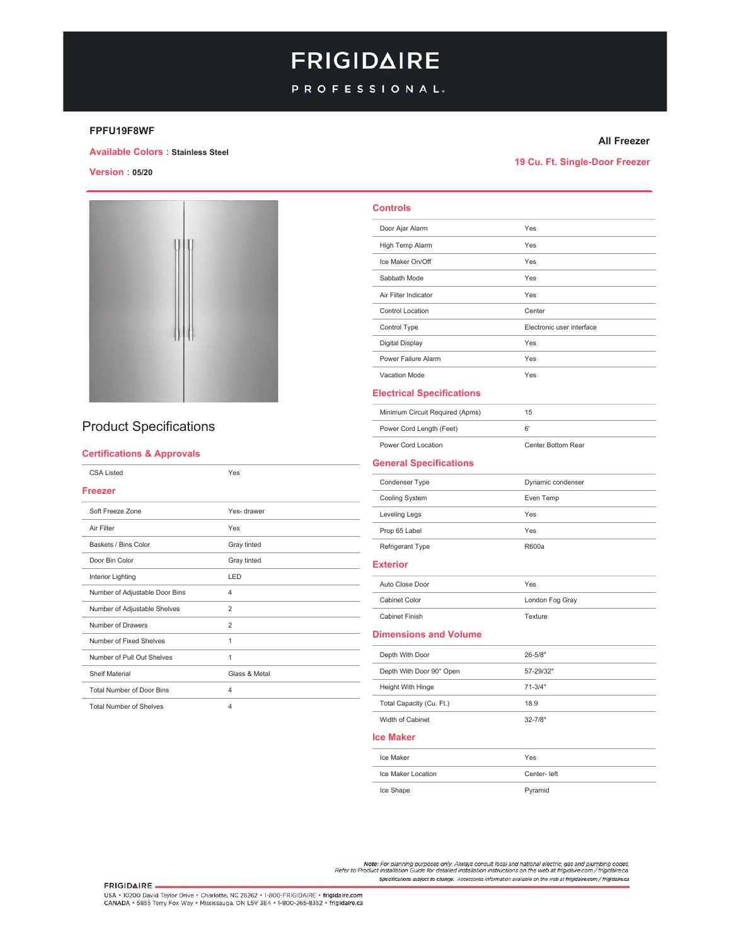# **FRIGIDAIRE**

### PROFESSIONAL.

#### FPFU19F8WF

#### **All Freezer**

**Available Colors : Stainless Steel** 

**Version: 05/20** 

19 Cu. Ft. Single-Door Freezer



### **Product Specifications**

### **Certifications & Approvals**

| <b>CSA Listed</b>                | Yes            |
|----------------------------------|----------------|
| <b>Freezer</b>                   |                |
| Soft Freeze Zone                 | Yes-drawer     |
| Air Filter                       | Yes            |
| Baskets / Bins Color             | Gray tinted    |
| Door Bin Color                   | Gray tinted    |
| Interior Lighting                | LED            |
| Number of Adjustable Door Bins   | 4              |
| Number of Adjustable Shelves     | $\overline{2}$ |
| Number of Drawers                | $\overline{2}$ |
| Number of Fixed Shelves          | 1              |
| Number of Pull Out Shelves       | 1              |
| <b>Shelf Material</b>            | Glass & Metal  |
| <b>Total Number of Door Bins</b> | 4              |
| <b>Total Number of Shelves</b>   | 4              |

| <b>Controls</b>                  |                           |
|----------------------------------|---------------------------|
| Door Ajar Alarm                  | Yes                       |
| High Temp Alarm                  | Yes                       |
| Ice Maker On/Off                 | Yes                       |
| Sabbath Mode                     | Yes                       |
| Air Filter Indicator             | Yes                       |
| Control Location                 | Center                    |
| Control Type                     | Electronic user interface |
| Digital Display                  | Yes                       |
| Power Failure Alarm              | Yes                       |
| Vacation Mode                    | Yes                       |
| <b>Electrical Specifications</b> |                           |
| Minimum Circuit Required (Apms)  | 15                        |
| Power Cord Length (Feet)         | 6'                        |
| Power Cord Location              | Center Bottom Rear        |
| <b>General Specifications</b>    |                           |
| Condenser Type                   | Dynamic condenser         |
| Cooling System                   | Even Temp                 |
| Leveling Legs                    | Yes                       |
| Prop 65 Label                    | Yes                       |
| Refrigerant Type                 | R600a                     |
| <b>Exterior</b>                  |                           |
| Auto Close Door                  | Yes                       |
| Cabinet Color                    | London Fog Gray           |
| <b>Cabinet Finish</b>            | Texture                   |
| <b>Dimensions and Volume</b>     |                           |
| Depth With Door                  | 26-5/8"                   |
| Depth With Door 90° Open         | 57-29/32"                 |
| Height With Hinge                | $71 - 3/4"$               |
| Total Capacity (Cu. Ft.)         | 18.9                      |
| Width of Cabinet                 | 32-7/8"                   |
| <b>Ice Maker</b>                 |                           |
| Ice Maker                        | Yes                       |
| Ice Maker Location               | Center- left              |

Ice Shape

Pyramid

Note: For planning purposes only. Always consult local and national electric, gas and plumbing codes.<br>Refer to Product Installation Guide for detailed installation instructions on the web at frigidaire.com / frigidaire.ca. Specifications subject to change. Accessories information available on the web at frigidaire.com / frigidaire.ca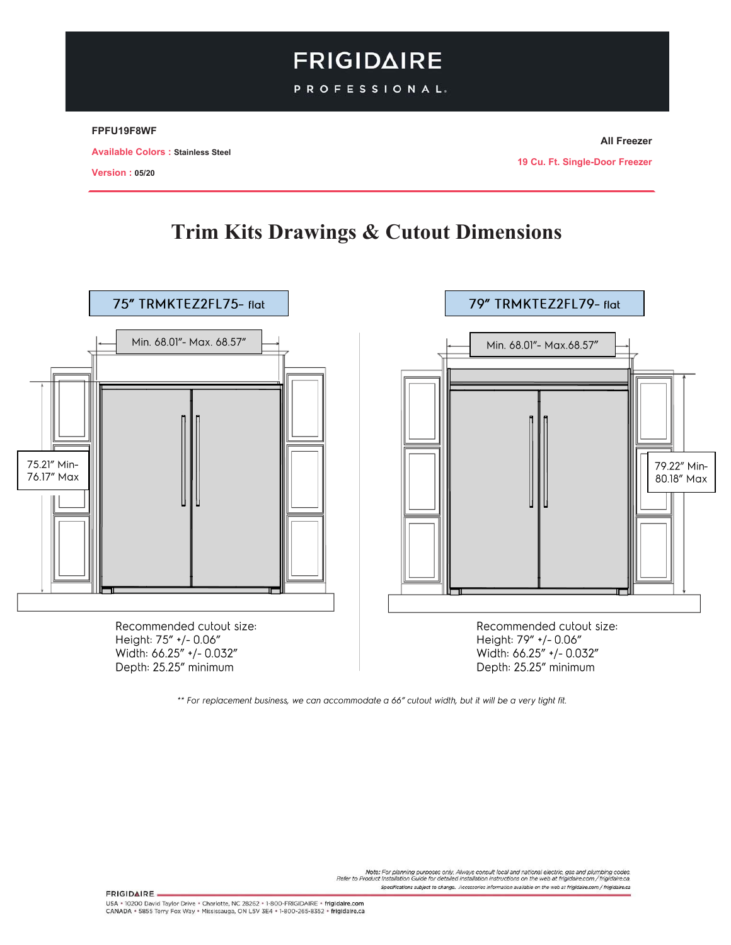# **FRIGIDAIRE**

PROFESSIONAL.

### FPFU19F8WF

**Available Colors: Stainless Steel** 

**05/20**

**All Freezer** 

**19 Cu. Ft. Single-Door Freezer** 

## **Trim Kits Drawings & Cutout Dimensions**



\*\* For replacement business, we can accommodate a 66" cutout width, but it will be a very tight fit.

Note: For planning purposes only. Always consult local and national electric, gas and plumbing codes.<br>Refer to Product Installation Guide for detailed installation instructions on the web at frigidaire.com / frigidaire.ca. Specifications subject to change. Accessories information available on the web at frigidaire.com / frigidaire.ca